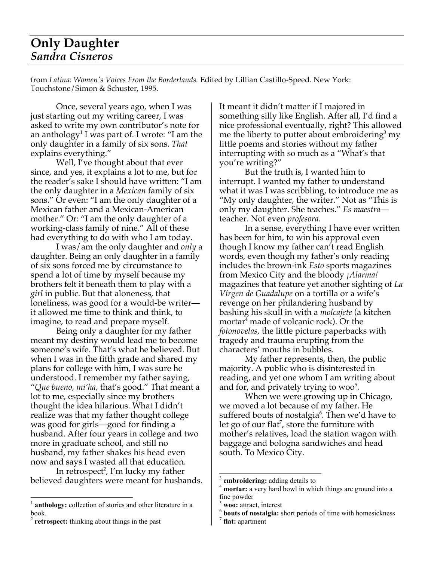## **Only Daughter** *Sandra Cisneros*

from *Latina: Women's Voices From the Borderlands.* Edited by Lillian Castillo-Speed. New York: Touchstone/Simon & Schuster, 1995.

Once, several years ago, when I was just starting out my writing career, I was asked to write my own contributor's note for an anthology $^1$  I was part of. I wrote: "I am the only daughter in a family of six sons. *That* explains everything."

Well, I've thought about that ever since, and yes, it explains a lot to me, but for the reader's sake I should have written: "I am the only daughter in a *Mexican* family of six sons." Or even: "I am the only daughter of a Mexican father and a Mexican-American mother." Or: "I am the only daughter of a working-class family of nine." All of these had everything to do with who I am today.

I was/am the only daughter and *only* a daughter. Being an only daughter in a family of six sons forced me by circumstance to spend a lot of time by myself because my brothers felt it beneath them to play with a *girl* in public. But that aloneness, that loneliness, was good for a would-be writer it allowed me time to think and think, to imagine, to read and prepare myself.

Being only a daughter for my father meant my destiny would lead me to become someone's wife. That's what he believed. But when I was in the fifth grade and shared my plans for college with him, I was sure he understood. I remember my father saying, "*Que bueno, mi'ha,* that's good." That meant a lot to me, especially since my brothers thought the idea hilarious. What I didn't realize was that my father thought college was good for girls—good for finding a husband. After four years in college and two more in graduate school, and still no husband, my father shakes his head even now and says I wasted all that education.

In retrospect 2 , I'm lucky my father believed daughters were meant for husbands. It meant it didn't matter if I majored in something silly like English. After all, I'd find a nice professional eventually, right? This allowed me the liberty to putter about embroidering<sup>3</sup> my little poems and stories without my father interrupting with so much as a "What's that you're writing?"

But the truth is, I wanted him to interrupt. I wanted my father to understand what it was I was scribbling, to introduce me as "My only daughter, the writer." Not as "This is only my daughter. She teaches." *Es maestra* teacher. Not even *profesora*.

In a sense, everything I have ever written has been for him, to win his approval even though I know my father can't read English words, even though my father's only reading includes the brown-ink *Esto* sports magazines from Mexico City and the bloody *¡Alarma!* magazines that feature yet another sighting of *La Virgen de Guadalupe* on a tortilla or a wife's revenge on her philandering husband by bashing his skull in with a *molcajete* (a kitchen mortar 4 made of volcanic rock). Or the *fotonovelas,* the little picture paperbacks with tragedy and trauma erupting from the characters' mouths in bubbles.

My father represents, then, the public majority. A public who is disinterested in reading, and yet one whom I am writing about and for, and privately trying to woo<sup>5</sup>.

When we were growing up in Chicago, we moved a lot because of my father. He suffered bouts of nostalgia $^6$ . Then we'd have to let go of our flat $^7$ , store the furniture with mother's relatives, load the station wagon with baggage and bologna sandwiches and head south. To Mexico City.

<sup>&</sup>lt;sup>1</sup> **anthology:** collection of stories and other literature in a book. <sup>2</sup> **retrospect:** thinking about things in the past

**embroidering:** adding details to **mortar:** a very hard bowl in which things are ground into a

fine powder<br><sup>5</sup> **woo:** attract, interest<br><sup>6</sup> **bouts of nostalgia:** short periods of time with homesickness<br><sup>7</sup> **flat:** apartment